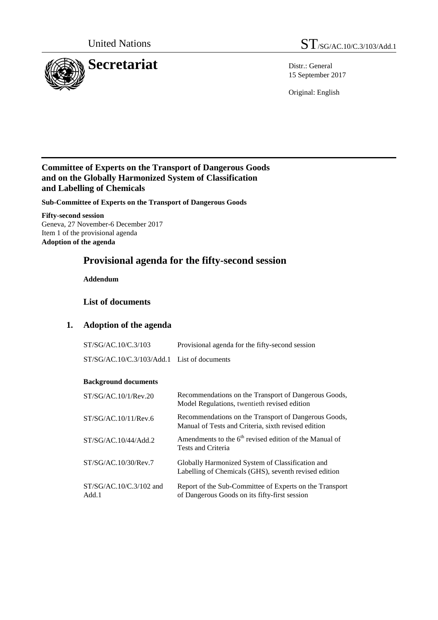

15 September 2017

Original: English

## **Committee of Experts on the Transport of Dangerous Goods and on the Globally Harmonized System of Classification and Labelling of Chemicals**

**Sub-Committee of Experts on the Transport of Dangerous Goods**

**Fifty-second session**  Geneva, 27 November-6 December 2017 Item 1 of the provisional agenda **Adoption of the agenda**

# **Provisional agenda for the fifty-second session**

**Addendum** 

## **List of documents**

## **1. Adoption of the agenda**

| ST/SG/AC.10/C.3/103 | Provisional agenda for the fifty-second session |
|---------------------|-------------------------------------------------|
|                     |                                                 |

ST/SG/AC.10/C.3/103/Add.1 List of documents

## **Background documents**

| ST/SG/AC.10/1/Rev.20               | Recommendations on the Transport of Dangerous Goods,<br>Model Regulations, twentieth revised edition        |
|------------------------------------|-------------------------------------------------------------------------------------------------------------|
| ST/SG/AC.10/11/Rev.6               | Recommendations on the Transport of Dangerous Goods,<br>Manual of Tests and Criteria, sixth revised edition |
| ST/SG/AC.10/44/Add.2               | Amendments to the 6 <sup>th</sup> revised edition of the Manual of<br>Tests and Criteria                    |
| ST/SG/AC.10/30/Rev.7               | Globally Harmonized System of Classification and<br>Labelling of Chemicals (GHS), seventh revised edition   |
| $ST/SG/AC.10/C.3/102$ and<br>Add.1 | Report of the Sub-Committee of Experts on the Transport<br>of Dangerous Goods on its fifty-first session    |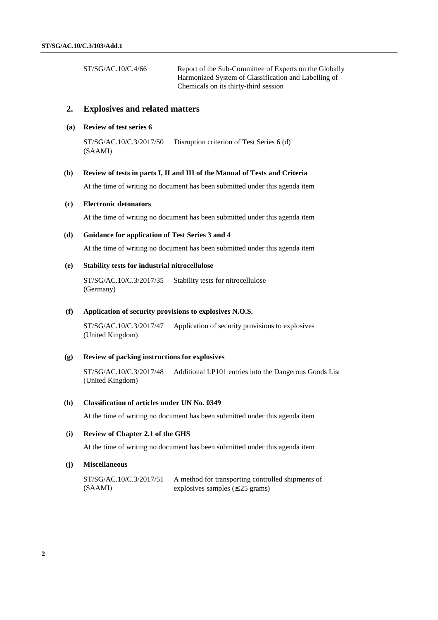ST/SG/AC.10/C.4/66 Report of the Sub-Committee of Experts on the Globally Harmonized System of Classification and Labelling of Chemicals on its thirty-third session

### **2. Explosives and related matters**

### **(a) Review of test series 6**

ST/SG/AC.10/C.3/2017/50 (SAAMI) Disruption criterion of Test Series 6 (d)

#### **(b) Review of tests in parts I, II and III of the Manual of Tests and Criteria**

At the time of writing no document has been submitted under this agenda item

#### **(c) Electronic detonators**

At the time of writing no document has been submitted under this agenda item

#### **(d) Guidance for application of Test Series 3 and 4**

At the time of writing no document has been submitted under this agenda item

#### **(e) Stability tests for industrial nitrocellulose**

ST/SG/AC.10/C.3/2017/35 (Germany) Stability tests for nitrocellulose

#### **(f) Application of security provisions to explosives N.O.S.**

ST/SG/AC.10/C.3/2017/47 (United Kingdom) Application of security provisions to explosives

#### **(g) Review of packing instructions for explosives**

ST/SG/AC.10/C.3/2017/48 (United Kingdom) Additional LP101 entries into the Dangerous Goods List

#### **(h) Classification of articles under UN No. 0349**

At the time of writing no document has been submitted under this agenda item

### **(i) Review of Chapter 2.1 of the GHS**

At the time of writing no document has been submitted under this agenda item

#### **(j) Miscellaneous**

ST/SG/AC.10/C.3/2017/51 (SAAMI) A method for transporting controlled shipments of explosives samples  $(E 25 \text{ grams})$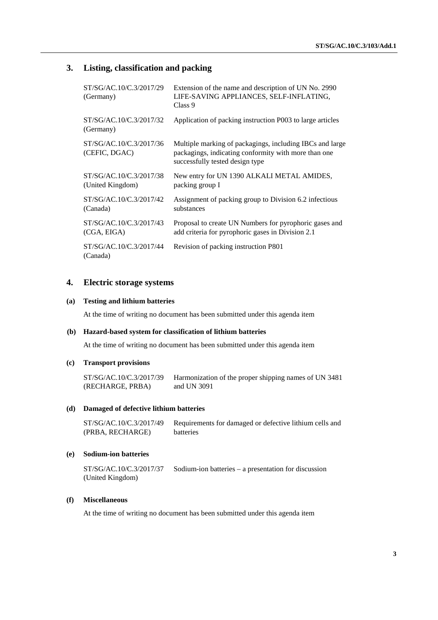## **3. Listing, classification and packing**

| ST/SG/AC.10/C.3/2017/29<br>(Germany)        | Extension of the name and description of UN No. 2990<br>LIFE-SAVING APPLIANCES, SELF-INFLATING,<br>Class 9                                          |
|---------------------------------------------|-----------------------------------------------------------------------------------------------------------------------------------------------------|
| ST/SG/AC.10/C.3/2017/32<br>(Germany)        | Application of packing instruction P003 to large articles                                                                                           |
| ST/SG/AC.10/C.3/2017/36<br>(CEFIC, DGAC)    | Multiple marking of packagings, including IBCs and large<br>packagings, indicating conformity with more than one<br>successfully tested design type |
| ST/SG/AC.10/C.3/2017/38<br>(United Kingdom) | New entry for UN 1390 ALKALI METAL AMIDES,<br>packing group I                                                                                       |
| ST/SG/AC.10/C.3/2017/42<br>(Canada)         | Assignment of packing group to Division 6.2 infectious<br>substances                                                                                |
| ST/SG/AC.10/C.3/2017/43<br>(CGA, EIGA)      | Proposal to create UN Numbers for pyrophoric gases and<br>add criteria for pyrophoric gases in Division 2.1                                         |
| ST/SG/AC.10/C.3/2017/44<br>(Canada)         | Revision of packing instruction P801                                                                                                                |

### **4. Electric storage systems**

### **(a) Testing and lithium batteries**

At the time of writing no document has been submitted under this agenda item

#### **(b) Hazard-based system for classification of lithium batteries**

At the time of writing no document has been submitted under this agenda item

#### **(c) Transport provisions**

ST/SG/AC.10/C.3/2017/39 (RECHARGE, PRBA) Harmonization of the proper shipping names of UN 3481 and UN 3091

#### **(d) Damaged of defective lithium batteries**

ST/SG/AC.10/C.3/2017/49 (PRBA, RECHARGE) Requirements for damaged or defective lithium cells and batteries

#### **(e) Sodium-ion batteries**

ST/SG/AC.10/C.3/2017/37 (United Kingdom) Sodium-ion batteries – a presentation for discussion

### **(f) Miscellaneous**

At the time of writing no document has been submitted under this agenda item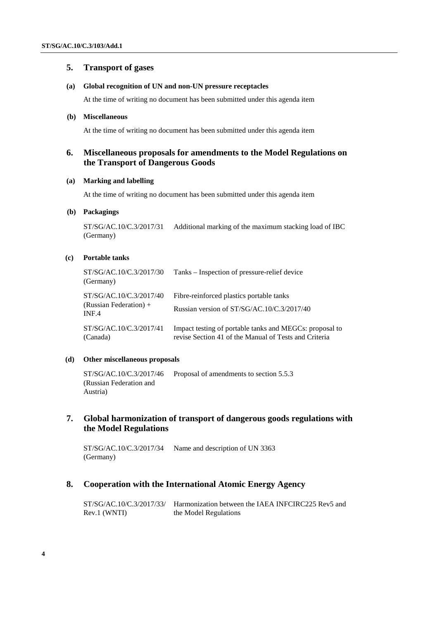## **5. Transport of gases**

#### **(a) Global recognition of UN and non-UN pressure receptacles**

At the time of writing no document has been submitted under this agenda item

### **(b) Miscellaneous**

At the time of writing no document has been submitted under this agenda item

## **6. Miscellaneous proposals for amendments to the Model Regulations on the Transport of Dangerous Goods**

### **(a) Marking and labelling**

At the time of writing no document has been submitted under this agenda item

#### **(b) Packagings**

ST/SG/AC.10/C.3/2017/31 Additional marking of the maximum stacking load of IBC (Germany)

### **(c) Portable tanks**

| ST/SG/AC.10/C.3/2017/30<br>(Germany)                         | Tanks – Inspection of pressure-relief device                                                                     |
|--------------------------------------------------------------|------------------------------------------------------------------------------------------------------------------|
| ST/SG/AC.10/C.3/2017/40<br>(Russian Federation) $+$<br>INF.4 | Fibre-reinforced plastics portable tanks<br>Russian version of ST/SG/AC.10/C.3/2017/40                           |
| ST/SG/AC.10/C.3/2017/41<br>(Canada)                          | Impact testing of portable tanks and MEGCs: proposal to<br>revise Section 41 of the Manual of Tests and Criteria |

### **(d) Other miscellaneous proposals**

ST/SG/AC.10/C.3/2017/46 (Russian Federation and Austria) Proposal of amendments to section 5.5.3

## **7. Global harmonization of transport of dangerous goods regulations with the Model Regulations**

ST/SG/AC.10/C.3/2017/34 (Germany) Name and description of UN 3363

### **8. Cooperation with the International Atomic Energy Agency**

ST/SG/AC.10/C.3/2017/33/ Harmonization between the IAEA INFCIRC225 Rev5 and Rev.1 (WNTI) the Model Regulations